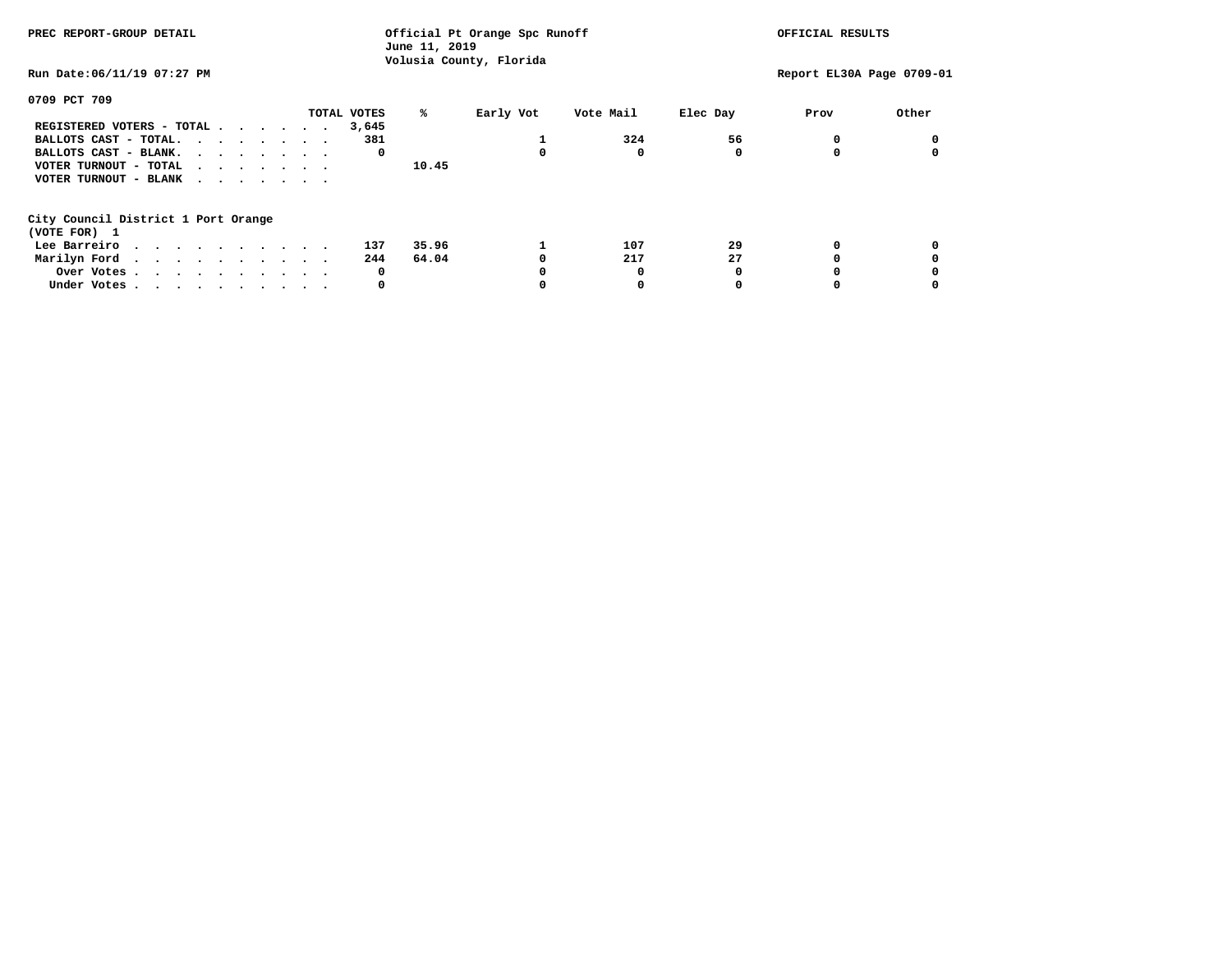| PREC REPORT-GROUP DETAIL                            |             | June 11, 2019 | Official Pt Orange Spc Runoff<br>Volusia County, Florida |           |          | OFFICIAL RESULTS          |       |
|-----------------------------------------------------|-------------|---------------|----------------------------------------------------------|-----------|----------|---------------------------|-------|
| Run Date:06/11/19 07:27 PM                          |             |               |                                                          |           |          | Report EL30A Page 0709-01 |       |
| 0709 PCT 709                                        |             |               |                                                          |           |          |                           |       |
|                                                     | TOTAL VOTES | ℁             | Early Vot                                                | Vote Mail | Elec Day | Prov                      | Other |
| REGISTERED VOTERS - TOTAL                           | 3,645       |               |                                                          |           |          |                           |       |
| BALLOTS CAST - TOTAL.                               | 381         |               |                                                          | 324       | 56       |                           |       |
| BALLOTS CAST - BLANK.                               |             | 0             |                                                          | 0         |          |                           |       |
| VOTER TURNOUT - TOTAL                               |             | 10.45         |                                                          |           |          |                           |       |
| VOTER TURNOUT - BLANK                               |             |               |                                                          |           |          |                           |       |
| City Council District 1 Port Orange<br>(VOTE FOR) 1 |             |               |                                                          |           |          |                           |       |
| Lee Barreiro                                        | 137         | 35.96         |                                                          | 107       | 29       |                           |       |
| Marilyn Ford                                        | 244         | 64.04         |                                                          | 217       | 27       |                           |       |
| Over Votes.                                         |             | 0             |                                                          |           |          |                           |       |
| Under Votes                                         |             | 0             |                                                          | 0         |          |                           |       |
|                                                     |             |               |                                                          |           |          |                           |       |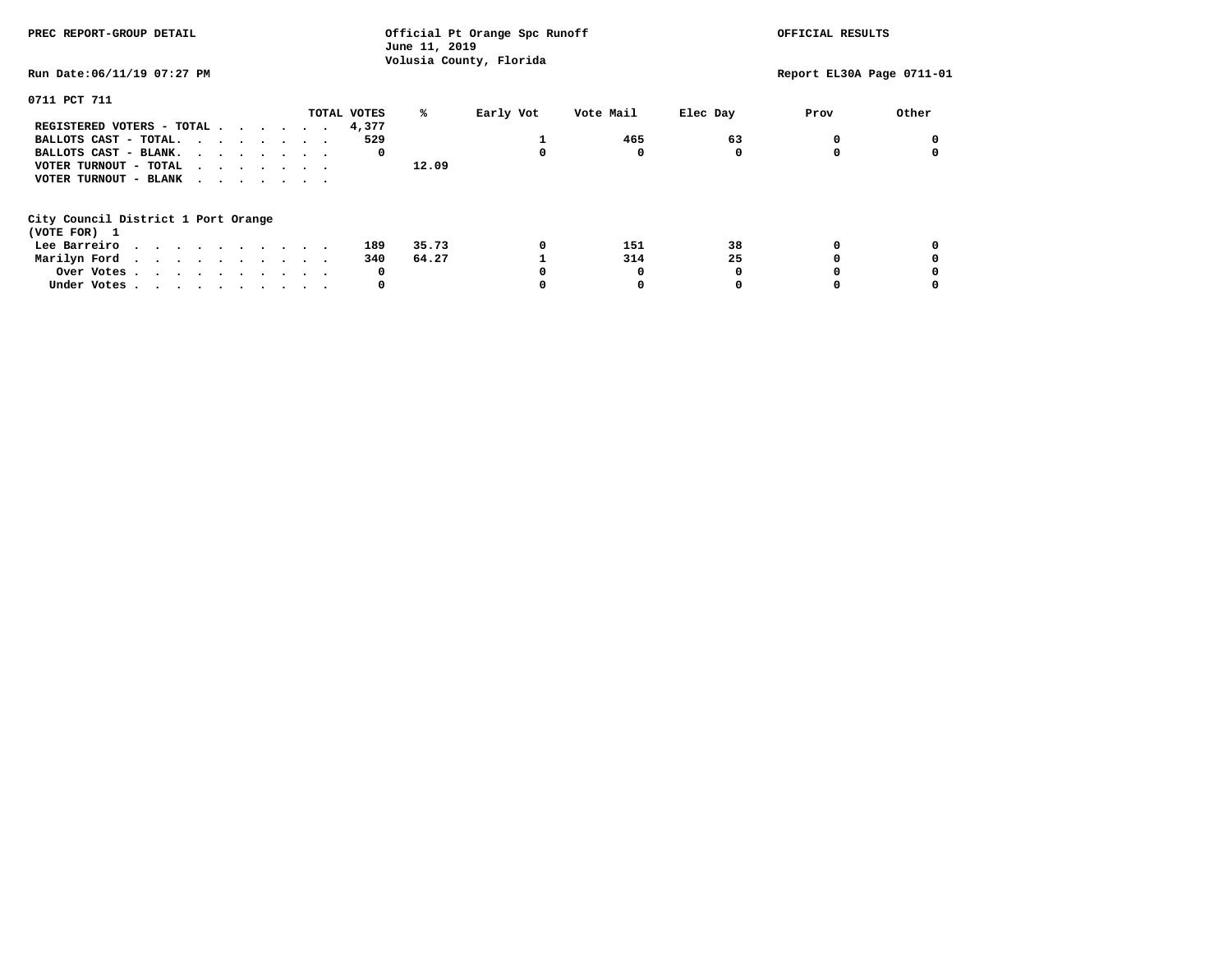| PREC REPORT-GROUP DETAIL                            | Official Pt Orange Spc Runoff<br>June 11, 2019<br>Volusia County, Florida |       |           |           |          | OFFICIAL RESULTS          |       |  |
|-----------------------------------------------------|---------------------------------------------------------------------------|-------|-----------|-----------|----------|---------------------------|-------|--|
| Run Date:06/11/19 07:27 PM                          |                                                                           |       |           |           |          | Report EL30A Page 0711-01 |       |  |
| 0711 PCT 711                                        |                                                                           |       |           |           |          |                           |       |  |
|                                                     | TOTAL VOTES                                                               | ℁     | Early Vot | Vote Mail | Elec Day | Prov                      | Other |  |
| REGISTERED VOTERS - TOTAL                           | 4,377                                                                     |       |           |           |          |                           |       |  |
| BALLOTS CAST - TOTAL.                               | 529                                                                       |       |           | 465       | 63       |                           |       |  |
| BALLOTS CAST - BLANK.                               | 0                                                                         |       |           | 0         |          |                           |       |  |
| VOTER TURNOUT - TOTAL                               |                                                                           | 12.09 |           |           |          |                           |       |  |
| VOTER TURNOUT - BLANK                               |                                                                           |       |           |           |          |                           |       |  |
| City Council District 1 Port Orange<br>(VOTE FOR) 1 |                                                                           |       |           |           |          |                           |       |  |
| Lee Barreiro                                        | 189                                                                       | 35.73 | 0         | 151       | 38       |                           |       |  |
| Marilyn Ford                                        | 340                                                                       | 64.27 |           | 314       | 25       |                           |       |  |
| Over Votes                                          | 0                                                                         |       |           | 0         |          |                           |       |  |
|                                                     | 0                                                                         |       |           |           |          |                           |       |  |
| Under Votes                                         |                                                                           |       |           |           |          |                           |       |  |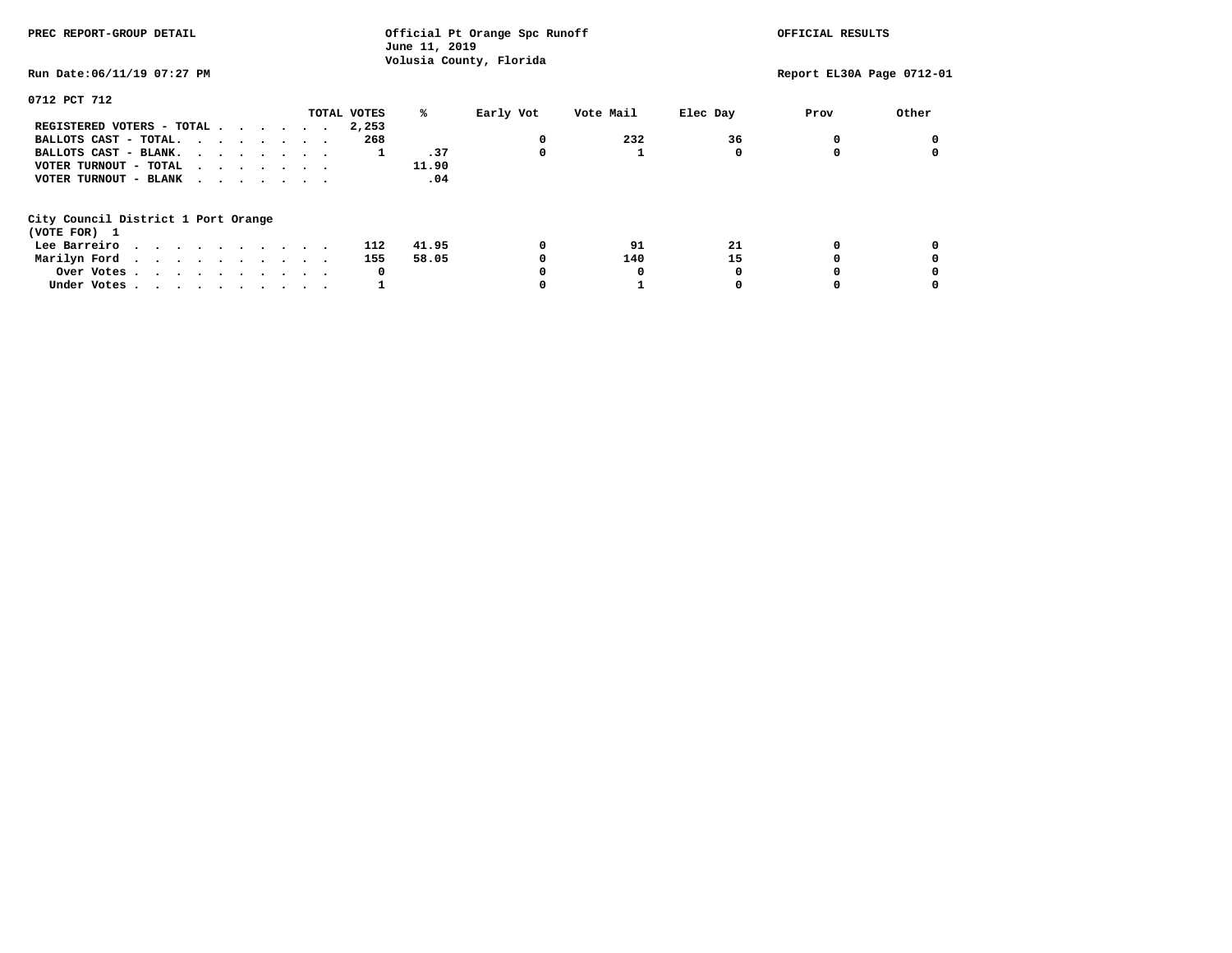| PREC REPORT-GROUP DETAIL                                                                                                                                                                                                                      |             | Official Pt Orange Spc Runoff<br>June 11, 2019 |                         |           |          | OFFICIAL RESULTS          |       |
|-----------------------------------------------------------------------------------------------------------------------------------------------------------------------------------------------------------------------------------------------|-------------|------------------------------------------------|-------------------------|-----------|----------|---------------------------|-------|
| Run Date:06/11/19 07:27 PM                                                                                                                                                                                                                    |             |                                                | Volusia County, Florida |           |          | Report EL30A Page 0712-01 |       |
| 0712 PCT 712                                                                                                                                                                                                                                  |             |                                                |                         |           |          |                           |       |
|                                                                                                                                                                                                                                               | TOTAL VOTES | ℁                                              | Early Vot               | Vote Mail | Elec Day | Prov                      | Other |
| REGISTERED VOTERS - TOTAL                                                                                                                                                                                                                     | 2,253       |                                                |                         |           |          |                           |       |
| BALLOTS CAST - TOTAL.                                                                                                                                                                                                                         | 268         |                                                | 0                       | 232       | 36       |                           |       |
| BALLOTS CAST - BLANK.                                                                                                                                                                                                                         |             | .37<br>1                                       | 0                       |           |          |                           |       |
| VOTER TURNOUT - TOTAL                                                                                                                                                                                                                         |             | 11.90                                          |                         |           |          |                           |       |
| VOTER TURNOUT - BLANK                                                                                                                                                                                                                         |             | .04                                            |                         |           |          |                           |       |
| City Council District 1 Port Orange                                                                                                                                                                                                           |             |                                                |                         |           |          |                           |       |
| (VOTE FOR) 1                                                                                                                                                                                                                                  |             |                                                |                         |           |          |                           |       |
| Lee Barreiro                                                                                                                                                                                                                                  | 112         | 41.95                                          | 0                       | 91        | 21       |                           |       |
| Marilyn Ford<br>. The contract of the contract of the contract of the contract of the contract of the contract of the contract of the contract of the contract of the contract of the contract of the contract of the contract of the contrac | 155         | 58.05                                          |                         | 140       | 15       |                           |       |
| Over Votes                                                                                                                                                                                                                                    |             | 0                                              |                         |           |          |                           |       |
| Under Votes                                                                                                                                                                                                                                   |             |                                                |                         |           |          |                           |       |
|                                                                                                                                                                                                                                               |             |                                                |                         |           |          |                           |       |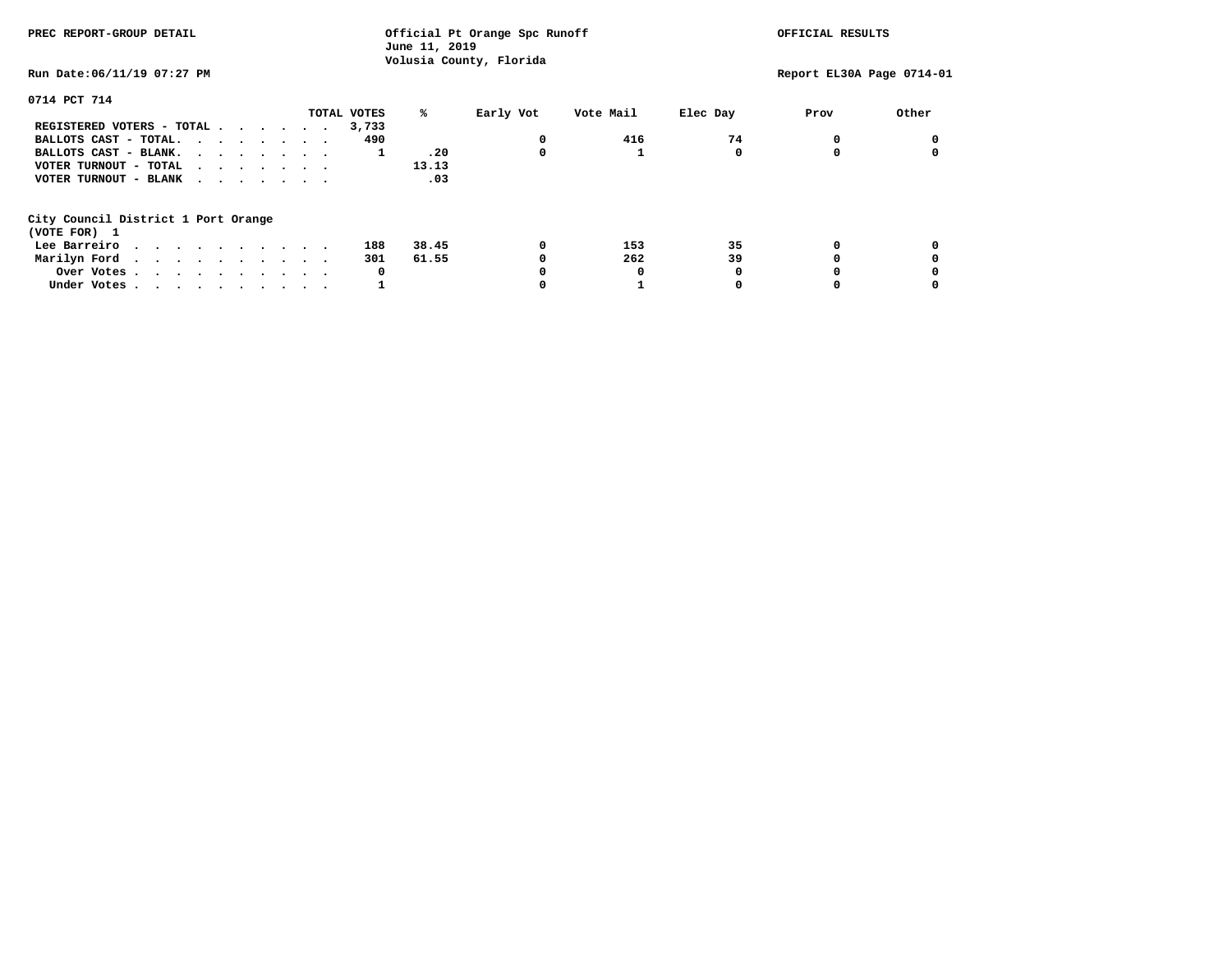| PREC REPORT-GROUP DETAIL                                                                                                                                                                                                                      | June 11, 2019    | Official Pt Orange Spc Runoff |          | OFFICIAL RESULTS          |       |
|-----------------------------------------------------------------------------------------------------------------------------------------------------------------------------------------------------------------------------------------------|------------------|-------------------------------|----------|---------------------------|-------|
| Run Date:06/11/19 07:27 PM                                                                                                                                                                                                                    |                  | Volusia County, Florida       |          | Report EL30A Page 0714-01 |       |
| 0714 PCT 714                                                                                                                                                                                                                                  |                  |                               |          |                           |       |
|                                                                                                                                                                                                                                               | TOTAL VOTES<br>℁ | Early Vot<br>Vote Mail        | Elec Day | Prov                      | Other |
| REGISTERED VOTERS - TOTAL                                                                                                                                                                                                                     | 3,733            |                               |          |                           |       |
| BALLOTS CAST - TOTAL.                                                                                                                                                                                                                         | 490              | 416<br>0                      | 74       |                           |       |
| BALLOTS CAST - BLANK.                                                                                                                                                                                                                         | .20<br>1         | 0                             |          |                           |       |
| VOTER TURNOUT - TOTAL<br>.                                                                                                                                                                                                                    | 13.13            |                               |          |                           |       |
| VOTER TURNOUT - BLANK<br>$\cdot$                                                                                                                                                                                                              | .03              |                               |          |                           |       |
| City Council District 1 Port Orange                                                                                                                                                                                                           |                  |                               |          |                           |       |
| (VOTE FOR) 1                                                                                                                                                                                                                                  |                  |                               |          |                           |       |
| Lee Barreiro<br>. The contract of the contract of the contract of the contract of the contract of the contract of the contract of the contract of the contract of the contract of the contract of the contract of the contract of the contrac | 38.45<br>188     | 0<br>153                      | 35       |                           |       |
| Marilyn Ford                                                                                                                                                                                                                                  | 61.55<br>301     | 262                           | 39       |                           |       |
| Over Votes                                                                                                                                                                                                                                    | 0                | 0                             |          |                           |       |
| Under Votes                                                                                                                                                                                                                                   |                  |                               |          |                           |       |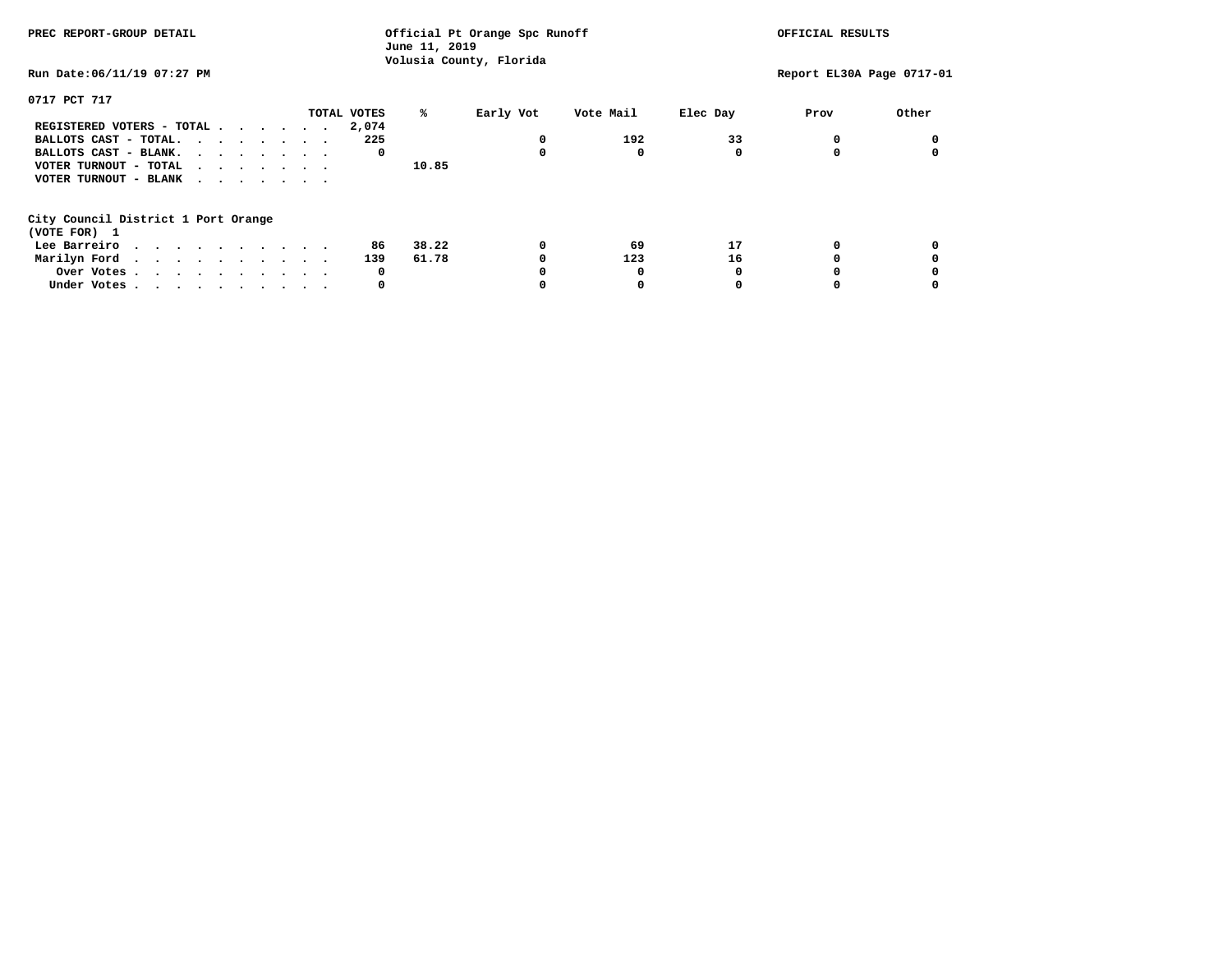| PREC REPORT-GROUP DETAIL                                    | Official Pt Orange Spc Runoff<br>June 11, 2019<br>Volusia County, Florida |       |           |           |          | OFFICIAL RESULTS          |       |  |
|-------------------------------------------------------------|---------------------------------------------------------------------------|-------|-----------|-----------|----------|---------------------------|-------|--|
| Run Date:06/11/19 07:27 PM                                  |                                                                           |       |           |           |          | Report EL30A Page 0717-01 |       |  |
| 0717 PCT 717                                                |                                                                           |       |           |           |          |                           |       |  |
|                                                             | TOTAL VOTES                                                               | ℁     | Early Vot | Vote Mail | Elec Day | Prov                      | Other |  |
| REGISTERED VOTERS - TOTAL                                   | 2,074                                                                     |       |           |           |          |                           |       |  |
| BALLOTS CAST - TOTAL.                                       | 225                                                                       |       | 0         | 192       | 33       |                           |       |  |
| BALLOTS CAST - BLANK.                                       | 0                                                                         |       | 0         | 0         |          |                           |       |  |
| VOTER TURNOUT - TOTAL $\cdot \cdot \cdot \cdot \cdot \cdot$ |                                                                           | 10.85 |           |           |          |                           |       |  |
| VOTER TURNOUT - BLANK                                       |                                                                           |       |           |           |          |                           |       |  |
| City Council District 1 Port Orange<br>(VOTE FOR) 1         |                                                                           |       |           |           |          |                           |       |  |
| Lee Barreiro                                                | 86                                                                        | 38.22 | 0         | 69        | 17       |                           |       |  |
| Marilyn Ford                                                | 139                                                                       | 61.78 |           | 123       | 16       |                           |       |  |
| Over Votes                                                  | 0                                                                         |       |           | O         |          |                           |       |  |
| Under Votes                                                 | 0                                                                         |       |           |           |          |                           |       |  |
|                                                             |                                                                           |       |           |           |          |                           |       |  |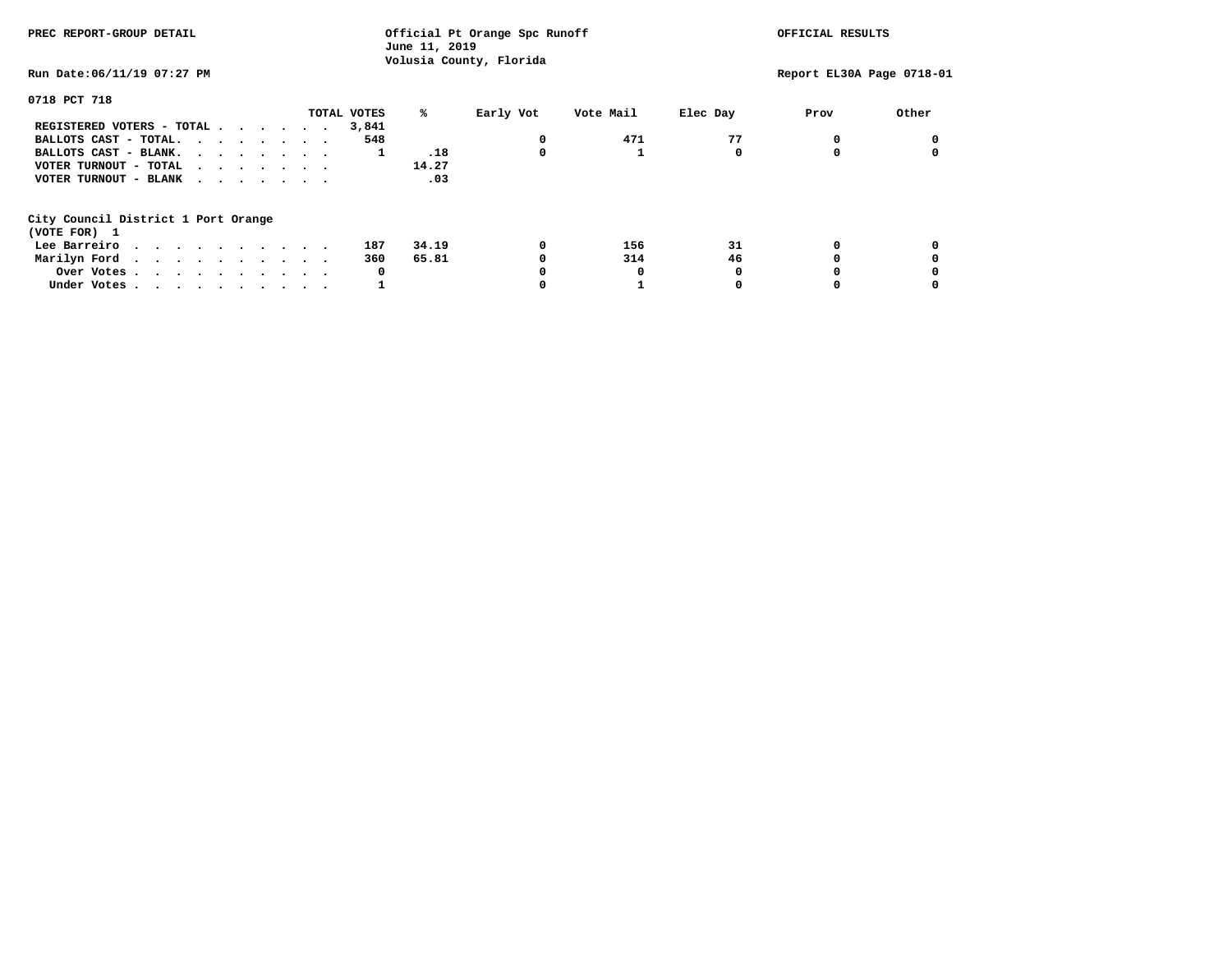| PREC REPORT-GROUP DETAIL                                                                                                                                                                                                                      | June 11, 2019    | Official Pt Orange Spc Runoff |          | OFFICIAL RESULTS |                           |
|-----------------------------------------------------------------------------------------------------------------------------------------------------------------------------------------------------------------------------------------------|------------------|-------------------------------|----------|------------------|---------------------------|
| Run Date:06/11/19 07:27 PM                                                                                                                                                                                                                    |                  | Volusia County, Florida       |          |                  | Report EL30A Page 0718-01 |
| 0718 PCT 718                                                                                                                                                                                                                                  |                  |                               |          |                  |                           |
|                                                                                                                                                                                                                                               | TOTAL VOTES<br>℁ | Early Vot<br>Vote Mail        | Elec Day | Prov             | Other                     |
| REGISTERED VOTERS - TOTAL                                                                                                                                                                                                                     | 3,841            |                               |          |                  |                           |
| BALLOTS CAST - TOTAL.                                                                                                                                                                                                                         | 548              | 471<br>0                      | 77       |                  |                           |
| BALLOTS CAST - BLANK.                                                                                                                                                                                                                         | .18<br>1         | 0                             |          |                  |                           |
| VOTER TURNOUT - TOTAL<br>.                                                                                                                                                                                                                    | 14.27            |                               |          |                  |                           |
| VOTER TURNOUT - BLANK<br>$\cdot$                                                                                                                                                                                                              | .03              |                               |          |                  |                           |
| City Council District 1 Port Orange                                                                                                                                                                                                           |                  |                               |          |                  |                           |
| (VOTE FOR) 1                                                                                                                                                                                                                                  |                  |                               |          |                  |                           |
| Lee Barreiro<br>. The contract of the contract of the contract of the contract of the contract of the contract of the contract of the contract of the contract of the contract of the contract of the contract of the contract of the contrac | 34.19<br>187     | 0<br>156                      | 31       |                  |                           |
| Marilyn Ford                                                                                                                                                                                                                                  | 65.81<br>360     | 314                           | 46       |                  |                           |
| Over Votes                                                                                                                                                                                                                                    | 0                | 0                             |          |                  |                           |
| Under Votes                                                                                                                                                                                                                                   |                  |                               |          |                  |                           |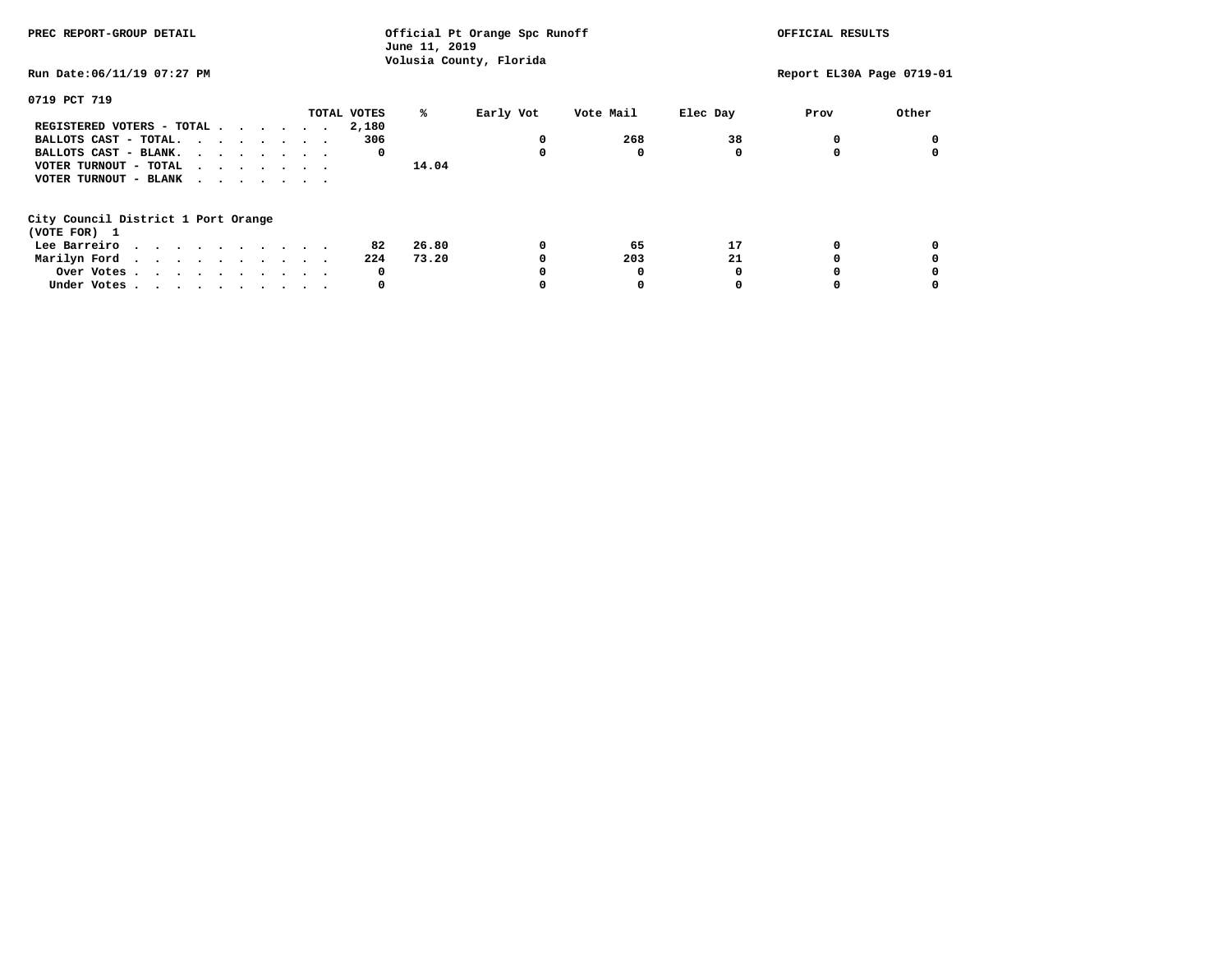| PREC REPORT-GROUP DETAIL                            | Official Pt Orange Spc Runoff<br>June 11, 2019<br>Volusia County, Florida |                |                       |                           |
|-----------------------------------------------------|---------------------------------------------------------------------------|----------------|-----------------------|---------------------------|
| Run Date:06/11/19 07:27 PM                          |                                                                           |                |                       | Report EL30A Page 0719-01 |
| 0719 PCT 719                                        |                                                                           |                |                       |                           |
|                                                     | TOTAL VOTES                                                               | ℁<br>Early Vot | Vote Mail<br>Elec Day | Other<br>Prov             |
| REGISTERED VOTERS - TOTAL                           | 2,180                                                                     |                |                       |                           |
| BALLOTS CAST - TOTAL.                               | 306                                                                       | $\Omega$       | 268<br>38             |                           |
| BALLOTS CAST - BLANK.                               | 0                                                                         | 0              | 0                     |                           |
| VOTER TURNOUT - TOTAL                               |                                                                           | 14.04          |                       |                           |
| VOTER TURNOUT - BLANK                               |                                                                           |                |                       |                           |
| City Council District 1 Port Orange<br>(VOTE FOR) 1 |                                                                           |                |                       |                           |
| Lee Barreiro                                        | 82                                                                        | 26.80<br>0     | 17<br>65              |                           |
|                                                     | 224                                                                       | 73.20          | 21<br>203             |                           |
| Marilyn Ford.                                       |                                                                           |                |                       |                           |
| Over Votes                                          | 0                                                                         |                | O                     |                           |
| Under Votes                                         | 0                                                                         |                |                       |                           |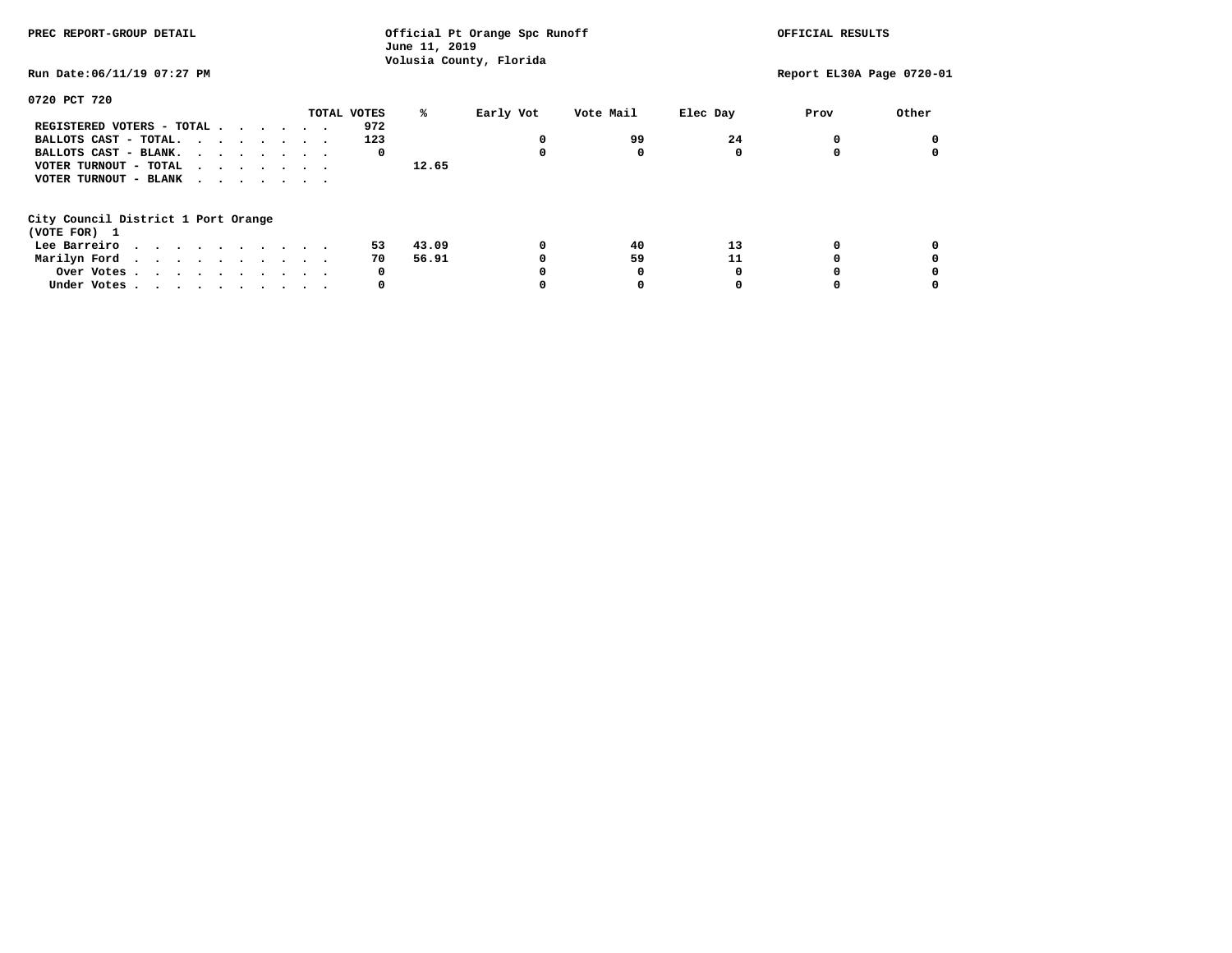| PREC REPORT-GROUP DETAIL            |             | June 11, 2019 | Official Pt Orange Spc Runoff |           |          | OFFICIAL RESULTS          |       |
|-------------------------------------|-------------|---------------|-------------------------------|-----------|----------|---------------------------|-------|
| Run Date: 06/11/19 07:27 PM         |             |               | Volusia County, Florida       |           |          | Report EL30A Page 0720-01 |       |
| 0720 PCT 720                        |             |               |                               |           |          |                           |       |
|                                     | TOTAL VOTES | ℁             | Early Vot                     | Vote Mail | Elec Day | Prov                      | Other |
| REGISTERED VOTERS - TOTAL           | 972         |               |                               |           |          |                           |       |
| BALLOTS CAST - TOTAL.               | 123         |               |                               | 99        | 24       | 0                         |       |
| BALLOTS CAST - BLANK.               | 0           |               | 0                             | $\Omega$  | 0        | $\Omega$                  |       |
| VOTER TURNOUT - TOTAL<br>$\cdots$   |             | 12.65         |                               |           |          |                           |       |
| VOTER TURNOUT - BLANK               |             |               |                               |           |          |                           |       |
| City Council District 1 Port Orange |             |               |                               |           |          |                           |       |
| (VOTE FOR) 1                        |             |               |                               |           |          |                           |       |
| Lee Barreiro                        | 53          | 43.09         | 0                             | 40        | 13       | 0                         |       |
| Marilyn Ford.                       | 70          | 56.91         | 0                             | 59        | 11       | 0                         |       |
| Over Votes.                         | 0           |               | 0                             | 0         | $\Omega$ | 0                         |       |
| Under Votes                         | 0           |               | 0                             | 0         | $\Omega$ | 0                         |       |
|                                     |             |               |                               |           |          |                           |       |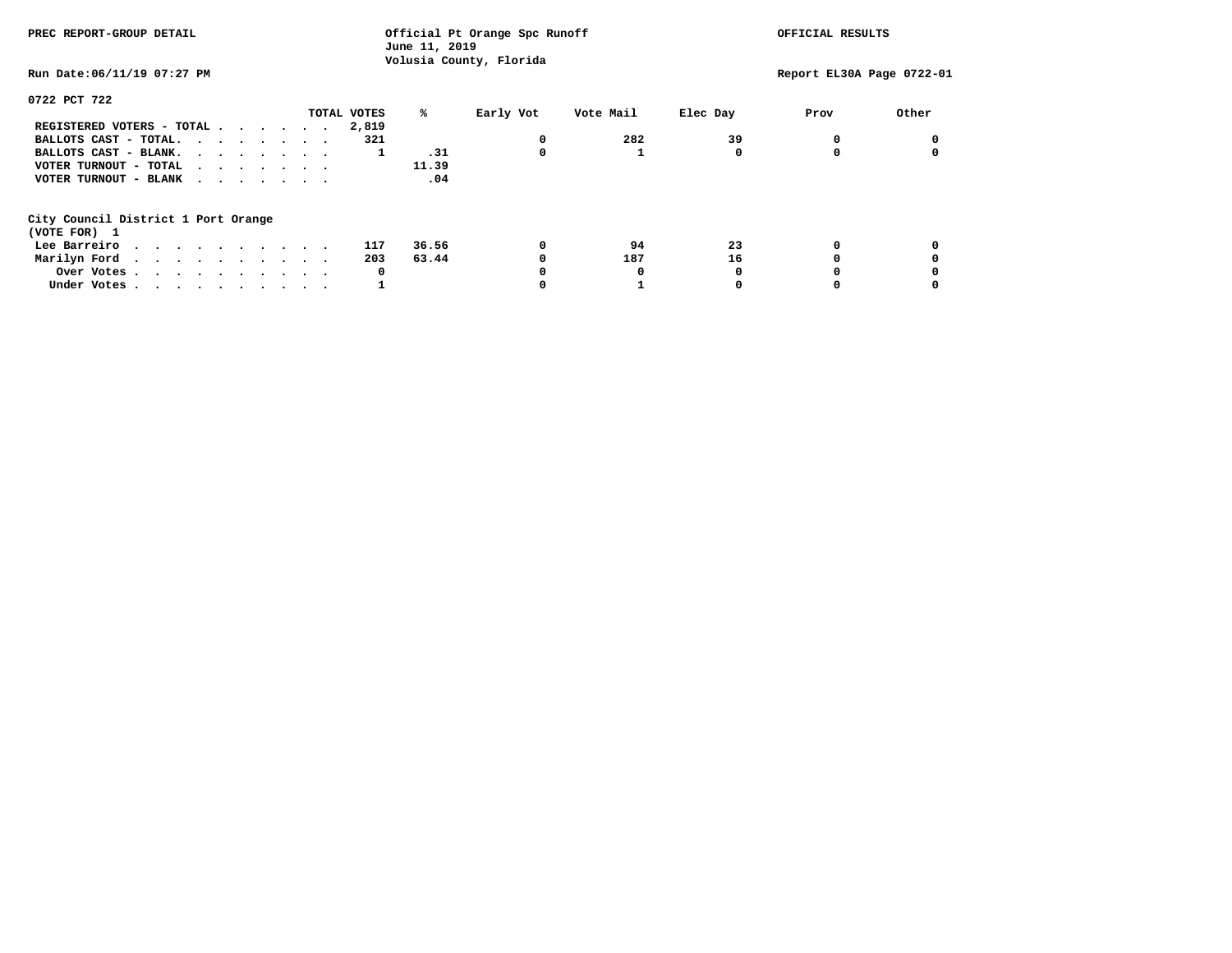| PREC REPORT-GROUP DETAIL                                                                                                       |             | Official Pt Orange Spc Runoff<br>June 11, 2019 |           |          | OFFICIAL RESULTS          |       |
|--------------------------------------------------------------------------------------------------------------------------------|-------------|------------------------------------------------|-----------|----------|---------------------------|-------|
| Run Date: 06/11/19 07:27 PM                                                                                                    |             | Volusia County, Florida                        |           |          | Report EL30A Page 0722-01 |       |
| 0722 PCT 722                                                                                                                   |             |                                                |           |          |                           |       |
|                                                                                                                                | TOTAL VOTES | %ะ<br>Early Vot                                | Vote Mail | Elec Day | Prov                      | Other |
| REGISTERED VOTERS - TOTAL                                                                                                      | 2,819       |                                                |           |          |                           |       |
| BALLOTS CAST - TOTAL.                                                                                                          | 321         |                                                | 282       | 39       | $^{\circ}$                |       |
| BALLOTS CAST - BLANK.                                                                                                          |             | .31<br>1                                       | 0         | 0        | 0                         |       |
| VOTER TURNOUT - TOTAL<br>.                                                                                                     |             | 11.39                                          |           |          |                           |       |
| VOTER TURNOUT - BLANK<br>.                                                                                                     |             | .04                                            |           |          |                           |       |
| City Council District 1 Port Orange                                                                                            |             |                                                |           |          |                           |       |
| (VOTE FOR) 1                                                                                                                   |             |                                                |           |          |                           |       |
| Lee Barreiro<br>. The contract of the contract of the contract of the contract of the contract of the contract of the $\alpha$ | 117         | 36.56                                          | 0<br>94   | 23       | 0                         |       |
| Marilyn Ford                                                                                                                   | 203         | 63.44                                          | 0<br>187  | 16       | 0                         |       |
| Over Votes.                                                                                                                    |             | 0                                              | 0<br>0    | $\Omega$ | 0                         |       |
| Under Votes                                                                                                                    |             |                                                | 0         | 0        | 0                         |       |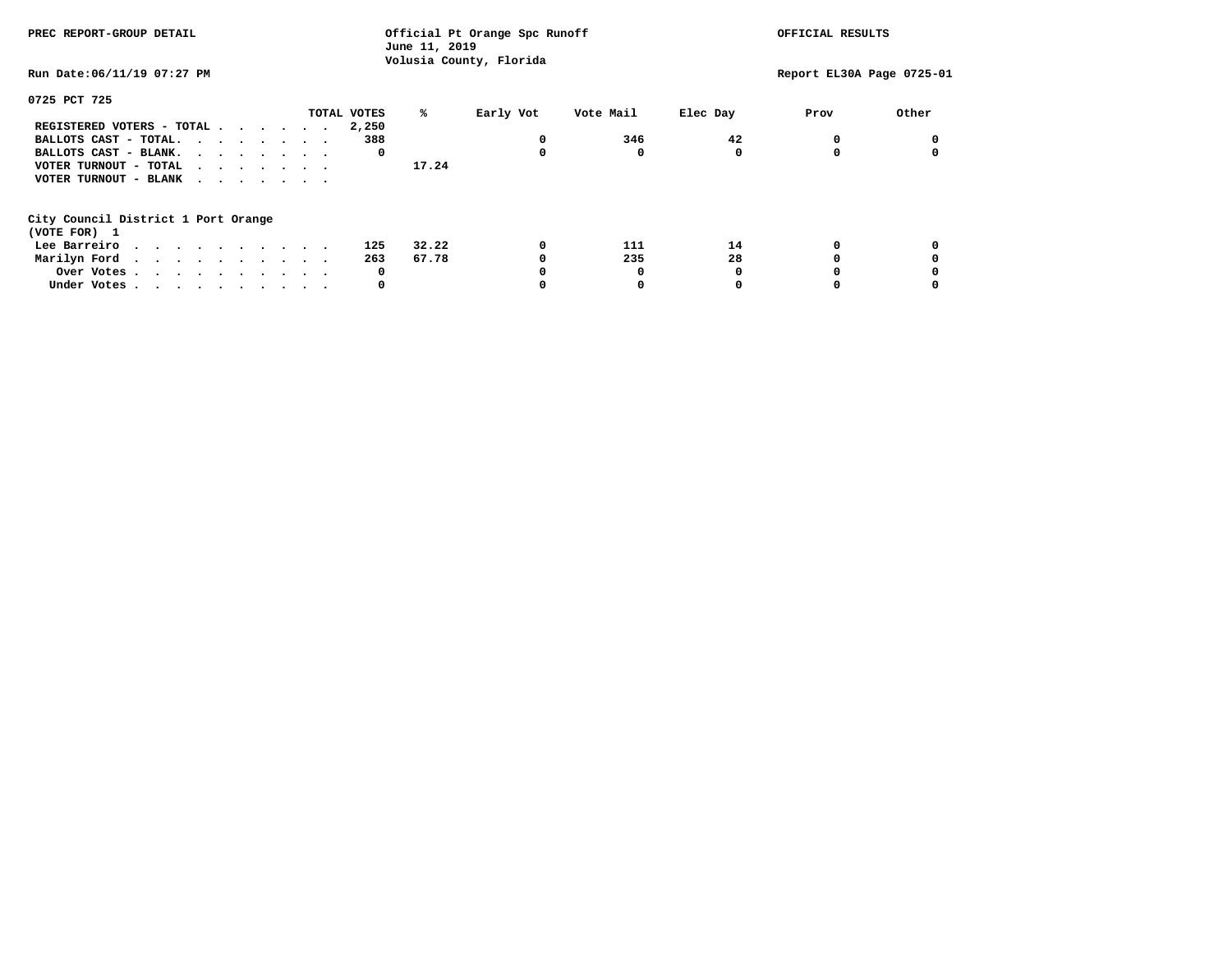| PREC REPORT-GROUP DETAIL                            | Official Pt Orange Spc Runoff<br>June 11, 2019<br>Volusia County, Florida |       |           |           |          | OFFICIAL RESULTS          |       |  |
|-----------------------------------------------------|---------------------------------------------------------------------------|-------|-----------|-----------|----------|---------------------------|-------|--|
| Run Date:06/11/19 07:27 PM                          |                                                                           |       |           |           |          | Report EL30A Page 0725-01 |       |  |
| 0725 PCT 725                                        |                                                                           |       |           |           |          |                           |       |  |
|                                                     | TOTAL VOTES                                                               | ℁     | Early Vot | Vote Mail | Elec Day | Prov                      | Other |  |
| REGISTERED VOTERS - TOTAL                           | 2,250                                                                     |       |           |           |          |                           |       |  |
| BALLOTS CAST - TOTAL.                               | 388                                                                       |       | 0         | 346       | 42       |                           |       |  |
| BALLOTS CAST - BLANK.                               | 0                                                                         |       | 0         | 0         |          |                           |       |  |
| VOTER TURNOUT - TOTAL                               |                                                                           | 17.24 |           |           |          |                           |       |  |
| VOTER TURNOUT - BLANK                               |                                                                           |       |           |           |          |                           |       |  |
| City Council District 1 Port Orange<br>(VOTE FOR) 1 |                                                                           |       |           |           |          |                           |       |  |
| Lee Barreiro                                        | 125                                                                       | 32.22 | 0         | 111       | 14       |                           |       |  |
| Marilyn Ford                                        | 263                                                                       | 67.78 |           | 235       | 28       |                           |       |  |
|                                                     | 0                                                                         |       |           |           |          |                           |       |  |
| Over Votes                                          | 0                                                                         |       |           |           |          |                           |       |  |
| Under Votes                                         |                                                                           |       |           |           |          |                           |       |  |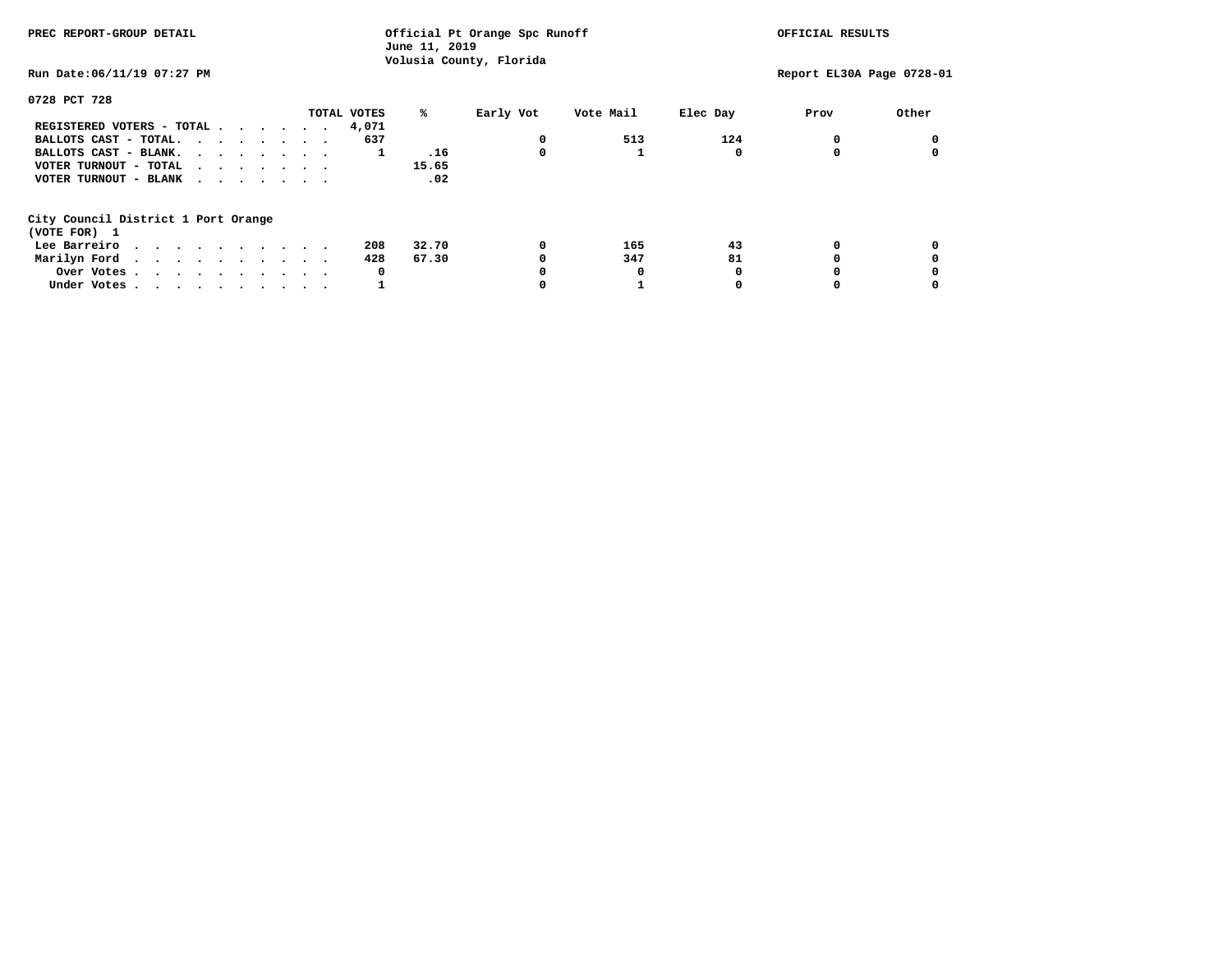| PREC REPORT-GROUP DETAIL                                                  | June 11, 2019    | Official Pt Orange Spc Runoff |          | OFFICIAL RESULTS          |       |
|---------------------------------------------------------------------------|------------------|-------------------------------|----------|---------------------------|-------|
| Run Date:06/11/19 07:27 PM                                                |                  | Volusia County, Florida       |          | Report EL30A Page 0728-01 |       |
| 0728 PCT 728                                                              |                  |                               |          |                           |       |
|                                                                           | TOTAL VOTES<br>℁ | Early Vot<br>Vote Mail        | Elec Day | Prov                      | Other |
| REGISTERED VOTERS - TOTAL $\cdot$ $\cdot$ $\cdot$ $\cdot$ $\cdot$ $\cdot$ | 4,071            |                               |          |                           |       |
| BALLOTS CAST - TOTAL.                                                     | 637              | 513<br>0                      | 124      |                           |       |
| BALLOTS CAST - BLANK.                                                     | .16<br>1         | 0                             |          |                           |       |
| VOTER TURNOUT - TOTAL<br>$\cdots$                                         | 15.65            |                               |          |                           |       |
| VOTER TURNOUT - BLANK                                                     | .02              |                               |          |                           |       |
| City Council District 1 Port Orange                                       |                  |                               |          |                           |       |
| (VOTE FOR) 1                                                              |                  |                               |          |                           |       |
| Lee Barreiro                                                              | 32.70<br>208     | 165<br>0                      | 43       |                           |       |
| Marilyn Ford                                                              | 428<br>67.30     | 347                           | 81       |                           |       |
| Over Votes.                                                               | 0                | 0                             |          |                           |       |
| Under Votes                                                               |                  |                               |          |                           |       |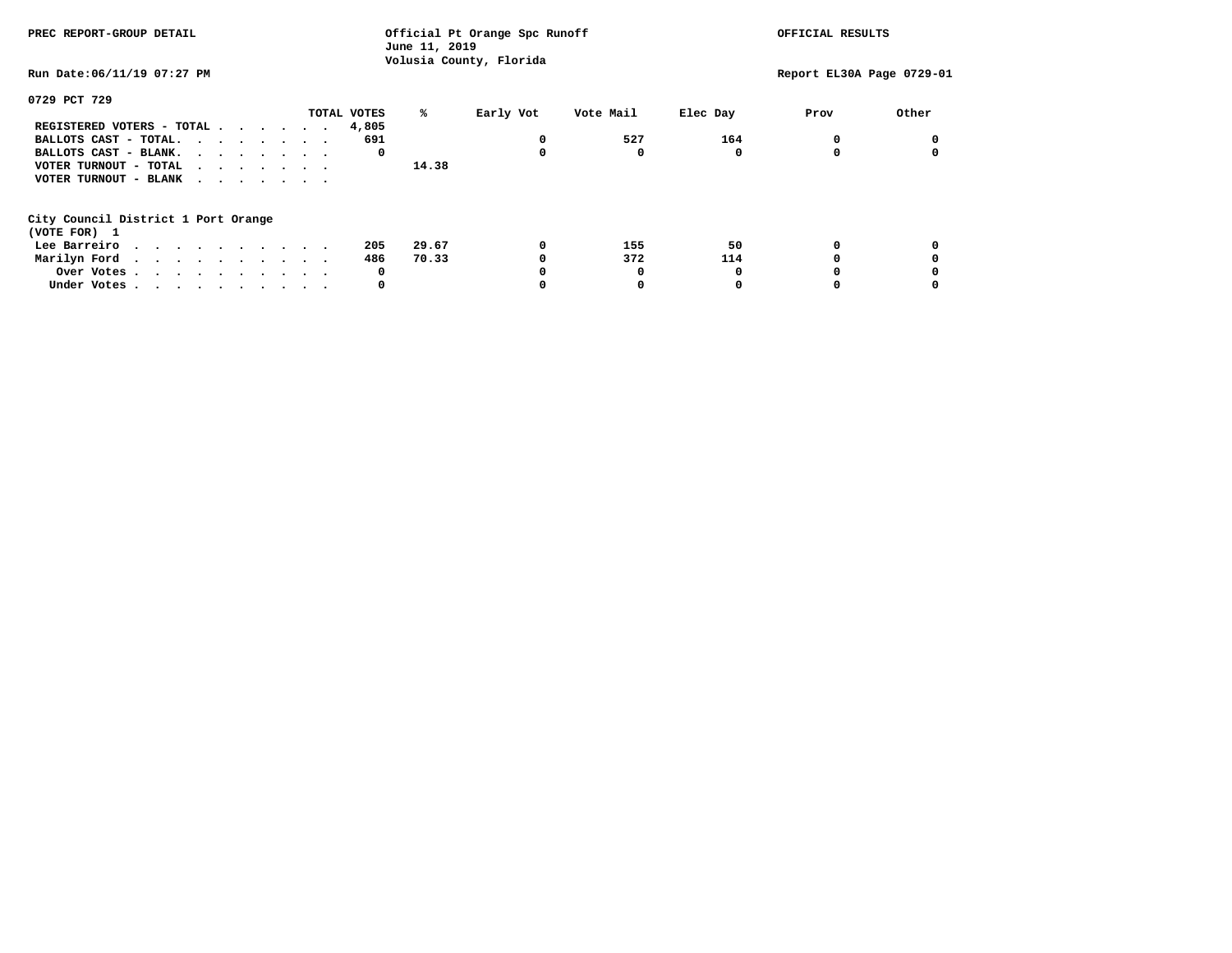| PREC REPORT-GROUP DETAIL                            | Official Pt Orange Spc Runoff<br>June 11, 2019<br>Volusia County, Florida |       |           |           | OFFICIAL RESULTS |                           |       |
|-----------------------------------------------------|---------------------------------------------------------------------------|-------|-----------|-----------|------------------|---------------------------|-------|
| Run Date:06/11/19 07:27 PM                          |                                                                           |       |           |           |                  | Report EL30A Page 0729-01 |       |
| 0729 PCT 729                                        |                                                                           |       |           |           |                  |                           |       |
|                                                     | TOTAL VOTES                                                               | ℁     | Early Vot | Vote Mail | Elec Day         | Prov                      | Other |
| REGISTERED VOTERS - TOTAL                           | 4,805                                                                     |       |           |           |                  |                           |       |
| BALLOTS CAST - TOTAL.                               | 691                                                                       |       | 0         | 527       | 164              |                           |       |
| BALLOTS CAST - BLANK.                               | 0                                                                         |       | 0         | 0         |                  |                           |       |
| VOTER TURNOUT - TOTAL                               |                                                                           | 14.38 |           |           |                  |                           |       |
| VOTER TURNOUT - BLANK                               |                                                                           |       |           |           |                  |                           |       |
| City Council District 1 Port Orange<br>(VOTE FOR) 1 |                                                                           |       |           |           |                  |                           |       |
| Lee Barreiro                                        | 205                                                                       | 29.67 | 0         | 155       | 50               |                           |       |
| Marilyn Ford                                        | 486                                                                       | 70.33 |           | 372       | 114              |                           |       |
| Over Votes                                          | 0                                                                         |       |           | O         |                  |                           |       |
| Under Votes                                         | 0                                                                         |       |           |           |                  |                           |       |
|                                                     |                                                                           |       |           |           |                  |                           |       |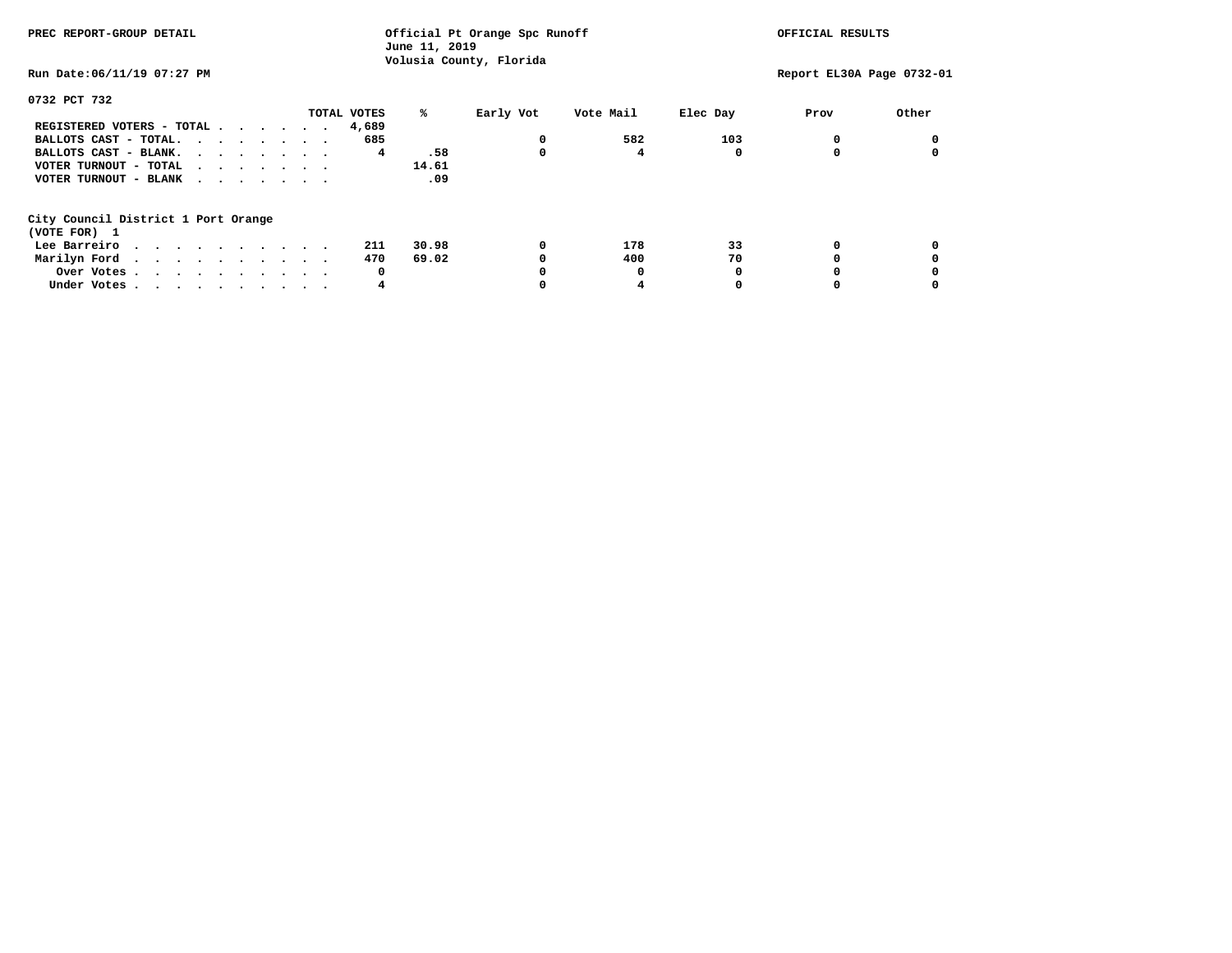| PREC REPORT-GROUP DETAIL                                                                                                                                                                                                                      | Official Pt Orange Spc Runoff<br>June 11, 2019 | OFFICIAL RESULTS        |          |                           |       |
|-----------------------------------------------------------------------------------------------------------------------------------------------------------------------------------------------------------------------------------------------|------------------------------------------------|-------------------------|----------|---------------------------|-------|
| Run Date:06/11/19 07:27 PM                                                                                                                                                                                                                    |                                                | Volusia County, Florida |          | Report EL30A Page 0732-01 |       |
| 0732 PCT 732                                                                                                                                                                                                                                  |                                                |                         |          |                           |       |
|                                                                                                                                                                                                                                               | TOTAL VOTES<br>℁                               | Early Vot<br>Vote Mail  | Elec Day | Prov                      | Other |
| REGISTERED VOTERS - TOTAL                                                                                                                                                                                                                     | 4,689                                          |                         |          |                           |       |
| BALLOTS CAST - TOTAL.                                                                                                                                                                                                                         | 685                                            | 582<br>0                | 103      |                           |       |
| BALLOTS CAST - BLANK.                                                                                                                                                                                                                         | .58<br>4                                       | 0                       |          |                           |       |
| VOTER TURNOUT - TOTAL<br>.                                                                                                                                                                                                                    | 14.61                                          |                         |          |                           |       |
| VOTER TURNOUT - BLANK<br>$\cdot$                                                                                                                                                                                                              | .09                                            |                         |          |                           |       |
| City Council District 1 Port Orange                                                                                                                                                                                                           |                                                |                         |          |                           |       |
| (VOTE FOR) 1                                                                                                                                                                                                                                  |                                                |                         |          |                           |       |
| Lee Barreiro<br>. The contract of the contract of the contract of the contract of the contract of the contract of the contract of the contract of the contract of the contract of the contract of the contract of the contract of the contrac | 30.98<br>211                                   | 0<br>178                | 33       |                           |       |
| Marilyn Ford                                                                                                                                                                                                                                  | 69.02<br>470                                   | 400                     | 70       |                           |       |
| Over Votes                                                                                                                                                                                                                                    | 0                                              | 0                       |          |                           |       |
| Under Votes                                                                                                                                                                                                                                   | 4                                              | 4                       |          |                           |       |